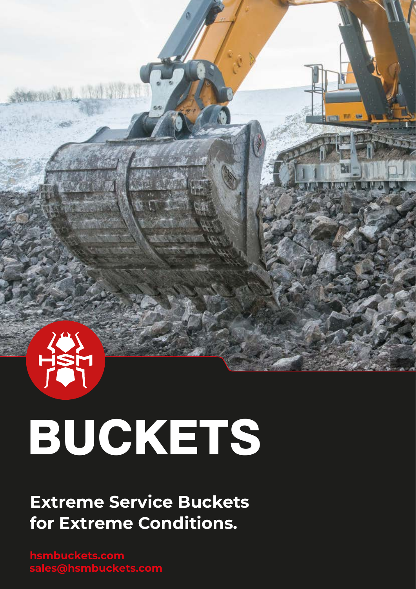

· 11 12 14 14

# BUCKETS

**Extreme Service Buckets for Extreme Conditions.**

**hsmbuckets.com sales@hsmbuckets.com**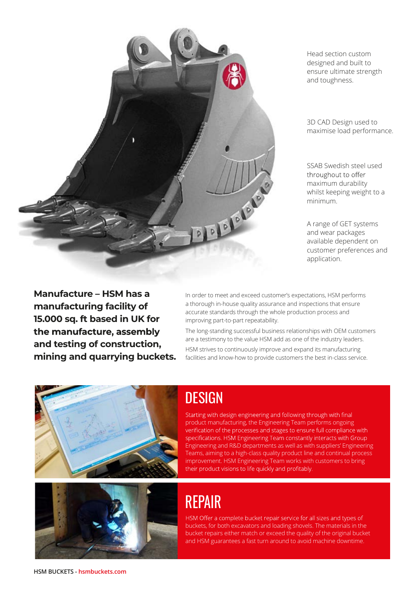

Head section custom designed and built to ensure ultimate strength and toughness.

3D CAD Design used to maximise load performance.

SSAB Swedish steel used throughout to offer maximum durability whilst keeping weight to a minimum.

A range of GET systems and wear packages available dependent on customer preferences and application.

**Manufacture – HSM has a manufacturing facility of 15.000 sq. ft based in UK for**  the manufacture, assembly **and testing of construction, mining and quarrying buckets.**

In order to meet and exceed customer's expectations, HSM performs a thorough in-house quality assurance and inspections that ensure accurate standards through the whole production process and improving part-to-part repeatability.

The long-standing successful business relationships with OEM customers are a testimony to the value HSM add as one of the industry leaders. HSM strives to continuously improve and expand its manufacturing facilities and know-how to provide customers the best in-class service.



# **DESIGN**

Starting with design engineering and following through with final product manufacturing, the Engineering Team performs ongoing verification of the processes and stages to ensure full compliance with specifications. HSM Engineering Team constantly interacts with Group Engineering and R&D departments as well as with suppliers' Engineering Teams, aiming to a high-class quality product line and continual process improvement. HSM Engineering Team works with customers to bring their product visions to life quickly and profitably.

# REPAIR

HSM Offer a complete bucket repair service for all sizes and types of buckets, for both excavators and loading shovels. The materials in the bucket repairs either match or exceed the quality of the original bucket and HSM guarantees a fast turn around to avoid machine downtime.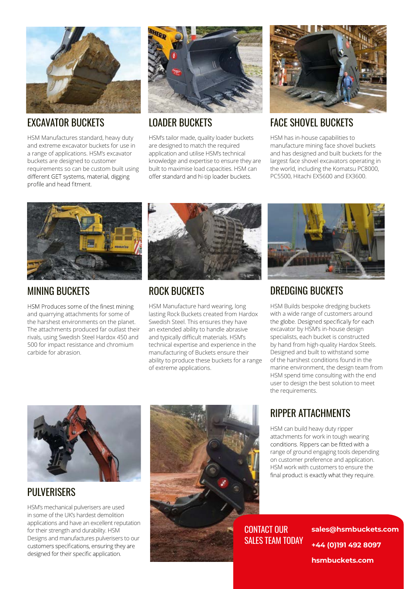

#### EXCAVATOR BUCKETS

HSM Manufactures standard, heavy duty and extreme excavator buckets for use in a range of applications. HSM's excavator buckets are designed to customer requirements so can be custom built using different GET systems, material, digging profile and head fitment.



#### LOADER BUCKETS

HSM's tailor made, quality loader buckets are designed to match the required application and utilise HSM's technical knowledge and expertise to ensure they are built to maximise load capacities. HSM can offer standard and hi-tip loader buckets.



#### FACE SHOVEL BUCKETS

HSM has in-house capabilities to manufacture mining face shovel buckets and has designed and built buckets for the largest face shovel excavators operating in the world, including the Komatsu PC8000, PC5500, Hitachi EX5600 and EX3600.



#### MINING BUCKETS

HSM Produces some of the finest mining and quarrying attachments for some of the harshest environments on the planet. The attachments produced far outlast their rivals, using Swedish Steel Hardox 450 and 500 for impact resistance and chromium carbide for abrasion.



#### ROCK BUCKETS

HSM Manufacture hard wearing, long lasting Rock Buckets created from Hardox Swedish Steel. This ensures they have an extended ability to handle abrasive and typically difficult materials. HSM's technical expertise and experience in the manufacturing of Buckets ensure their ability to produce these buckets for a range of extreme applications.



#### DREDGING BUCKETS

HSM Builds bespoke dredging buckets with a wide range of customers around the globe. Designed specifically for each excavator by HSM's in-house design specialists, each bucket is constructed by hand from high-quality Hardox Steels. Designed and built to withstand some of the harshest conditions found in the marine environment, the design team from HSM spend time consulting with the end user to design the best solution to meet the requirements.



#### PULVERISERS

HSM's mechanical pulverisers are used in some of the UK's hardest demolition applications and have an excellent reputation for their strength and durability. HSM Designs and manufactures pulverisers to our customers specifications, ensuring they are designed for their specific application.



#### RIPPER ATTACHMENTS

HSM can build heavy duty ripper attachments for work in tough wearing<br>conditions. Rippers can be fitted with a range of ground engaging tools depending on customer preference and application. HSM work with customers to ensure the final product is exactly what they require.

SALES TEAM TODAY

**+44 (0)191 492 8097** CONTACT OUR **sales@hsmbuckets.com hsmbuckets.com**